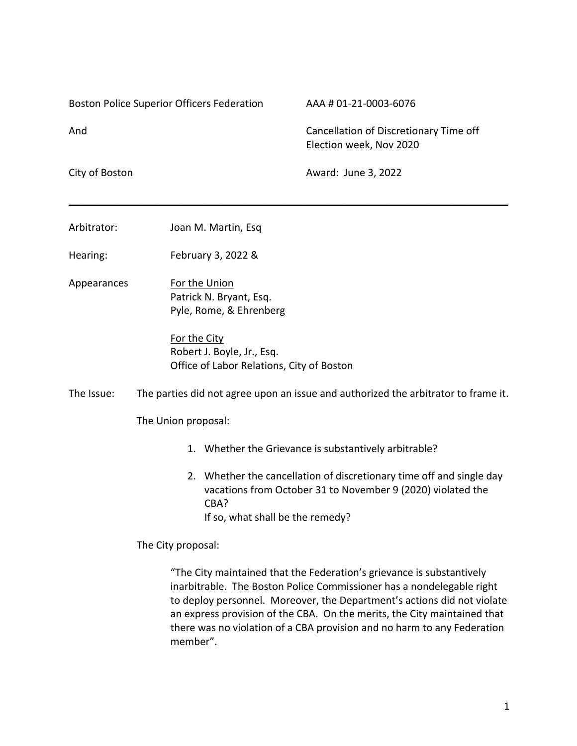Boston Police Superior Officers Federation AAA # 01-21-0003-6076

And Cancellation of Discretionary Time off Election week, Nov 2020

City of Boston **Award:** June 3, 2022

| Arbitrator: | Joan M. Martin, Esq |
|-------------|---------------------|
|             |                     |

Hearing: February 3, 2022 &

Appearances For the Union Patrick N. Bryant, Esq. Pyle, Rome, & Ehrenberg

> For the City Robert J. Boyle, Jr., Esq. Office of Labor Relations, City of Boston

The Issue: The parties did not agree upon an issue and authorized the arbitrator to frame it.

\_\_\_\_\_\_\_\_\_\_\_\_\_\_\_\_\_\_\_\_\_\_\_\_\_\_\_\_\_\_\_\_\_\_\_\_\_\_\_\_\_\_\_\_\_\_\_\_\_\_\_\_\_\_\_\_\_\_\_\_\_\_\_\_\_\_\_\_\_\_\_\_\_\_\_\_\_\_

The Union proposal:

1. Whether the Grievance is substantively arbitrable?

2. Whether the cancellation of discretionary time off and single day vacations from October 31 to November 9 (2020) violated the CBA? If so, what shall be the remedy?

The City proposal:

"The City maintained that the Federation's grievance is substantively inarbitrable. The Boston Police Commissioner has a nondelegable right to deploy personnel. Moreover, the Department's actions did not violate an express provision of the CBA. On the merits, the City maintained that there was no violation of a CBA provision and no harm to any Federation member".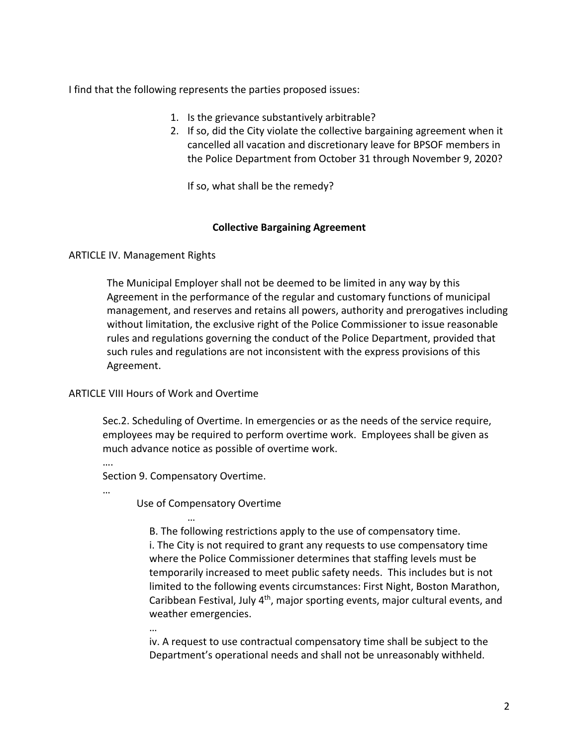I find that the following represents the parties proposed issues:

- 1. Is the grievance substantively arbitrable?
- 2. If so, did the City violate the collective bargaining agreement when it cancelled all vacation and discretionary leave for BPSOF members in the Police Department from October 31 through November 9, 2020?

If so, what shall be the remedy?

# **Collective Bargaining Agreement**

# ARTICLE IV. Management Rights

The Municipal Employer shall not be deemed to be limited in any way by this Agreement in the performance of the regular and customary functions of municipal management, and reserves and retains all powers, authority and prerogatives including without limitation, the exclusive right of the Police Commissioner to issue reasonable rules and regulations governing the conduct of the Police Department, provided that such rules and regulations are not inconsistent with the express provisions of this Agreement.

# ARTICLE VIII Hours of Work and Overtime

…

Sec.2. Scheduling of Overtime. In emergencies or as the needs of the service require, employees may be required to perform overtime work. Employees shall be given as much advance notice as possible of overtime work.

Section 9. Compensatory Overtime.

…

….

Use of Compensatory Overtime

… B. The following restrictions apply to the use of compensatory time. i. The City is not required to grant any requests to use compensatory time where the Police Commissioner determines that staffing levels must be temporarily increased to meet public safety needs. This includes but is not limited to the following events circumstances: First Night, Boston Marathon, Caribbean Festival, July 4<sup>th</sup>, major sporting events, major cultural events, and weather emergencies.

iv. A request to use contractual compensatory time shall be subject to the Department's operational needs and shall not be unreasonably withheld.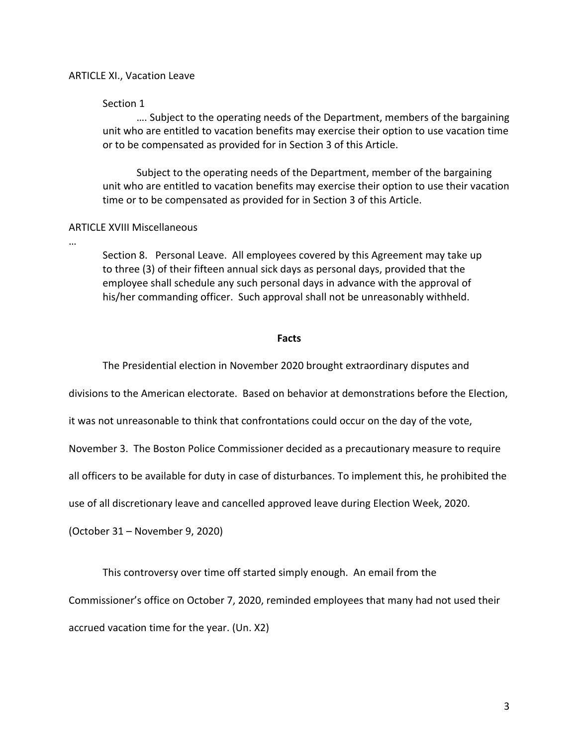### ARTICLE XI., Vacation Leave

### Section 1

…. Subject to the operating needs of the Department, members of the bargaining unit who are entitled to vacation benefits may exercise their option to use vacation time or to be compensated as provided for in Section 3 of this Article.

Subject to the operating needs of the Department, member of the bargaining unit who are entitled to vacation benefits may exercise their option to use their vacation time or to be compensated as provided for in Section 3 of this Article.

## ARTICLE XVIII Miscellaneous

…

Section 8. Personal Leave. All employees covered by this Agreement may take up to three (3) of their fifteen annual sick days as personal days, provided that the employee shall schedule any such personal days in advance with the approval of his/her commanding officer. Such approval shall not be unreasonably withheld.

#### **Facts**

The Presidential election in November 2020 brought extraordinary disputes and

divisions to the American electorate. Based on behavior at demonstrations before the Election,

it was not unreasonable to think that confrontations could occur on the day of the vote,

November 3. The Boston Police Commissioner decided as a precautionary measure to require

all officers to be available for duty in case of disturbances. To implement this, he prohibited the

use of all discretionary leave and cancelled approved leave during Election Week, 2020.

(October 31 – November 9, 2020)

This controversy over time off started simply enough. An email from the

Commissioner's office on October 7, 2020, reminded employees that many had not used their

accrued vacation time for the year. (Un. X2)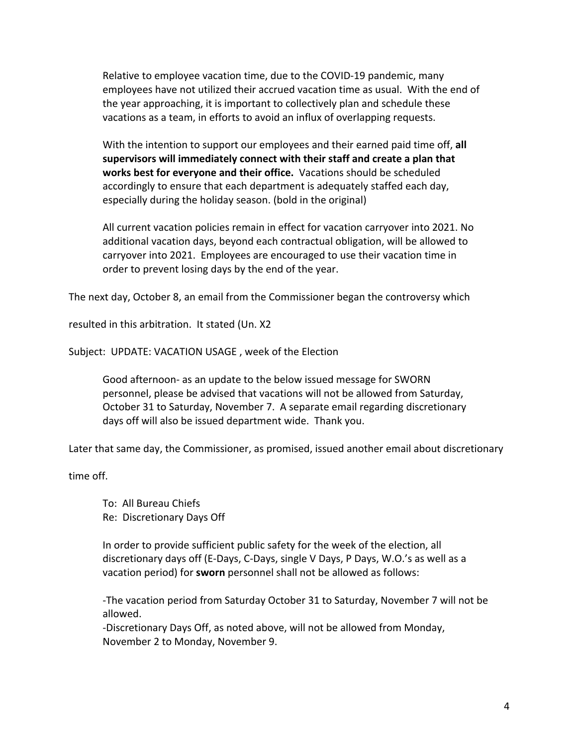Relative to employee vacation time, due to the COVID-19 pandemic, many employees have not utilized their accrued vacation time as usual. With the end of the year approaching, it is important to collectively plan and schedule these vacations as a team, in efforts to avoid an influx of overlapping requests.

With the intention to support our employees and their earned paid time off, **all supervisors will immediately connect with their staff and create a plan that works best for everyone and their office.** Vacations should be scheduled accordingly to ensure that each department is adequately staffed each day, especially during the holiday season. (bold in the original)

All current vacation policies remain in effect for vacation carryover into 2021. No additional vacation days, beyond each contractual obligation, will be allowed to carryover into 2021. Employees are encouraged to use their vacation time in order to prevent losing days by the end of the year.

The next day, October 8, an email from the Commissioner began the controversy which

resulted in this arbitration. It stated (Un. X2

Subject: UPDATE: VACATION USAGE , week of the Election

Good afternoon- as an update to the below issued message for SWORN personnel, please be advised that vacations will not be allowed from Saturday, October 31 to Saturday, November 7. A separate email regarding discretionary days off will also be issued department wide. Thank you.

Later that same day, the Commissioner, as promised, issued another email about discretionary

time off.

To: All Bureau Chiefs Re: Discretionary Days Off

In order to provide sufficient public safety for the week of the election, all discretionary days off (E-Days, C-Days, single V Days, P Days, W.O.'s as well as a vacation period) for **sworn** personnel shall not be allowed as follows:

-The vacation period from Saturday October 31 to Saturday, November 7 will not be allowed.

-Discretionary Days Off, as noted above, will not be allowed from Monday, November 2 to Monday, November 9.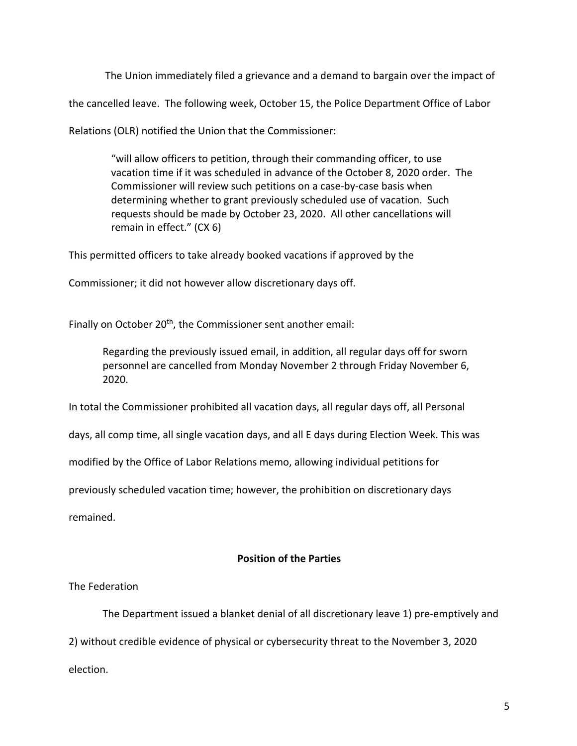The Union immediately filed a grievance and a demand to bargain over the impact of

the cancelled leave. The following week, October 15, the Police Department Office of Labor

Relations (OLR) notified the Union that the Commissioner:

"will allow officers to petition, through their commanding officer, to use vacation time if it was scheduled in advance of the October 8, 2020 order. The Commissioner will review such petitions on a case-by-case basis when determining whether to grant previously scheduled use of vacation. Such requests should be made by October 23, 2020. All other cancellations will remain in effect." (CX 6)

This permitted officers to take already booked vacations if approved by the

Commissioner; it did not however allow discretionary days off.

Finally on October 20<sup>th</sup>, the Commissioner sent another email:

Regarding the previously issued email, in addition, all regular days off for sworn personnel are cancelled from Monday November 2 through Friday November 6, 2020.

In total the Commissioner prohibited all vacation days, all regular days off, all Personal

days, all comp time, all single vacation days, and all E days during Election Week. This was

modified by the Office of Labor Relations memo, allowing individual petitions for

previously scheduled vacation time; however, the prohibition on discretionary days

remained.

# **Position of the Parties**

## The Federation

The Department issued a blanket denial of all discretionary leave 1) pre-emptively and

2) without credible evidence of physical or cybersecurity threat to the November 3, 2020

election.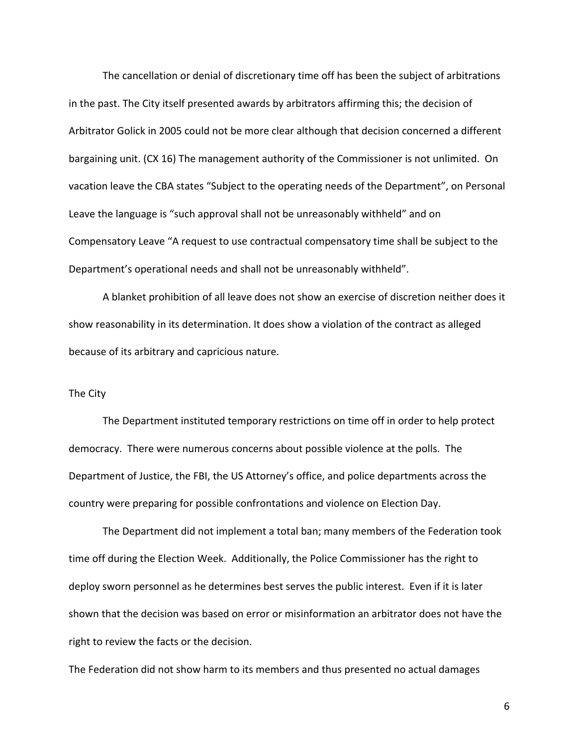The cancellation or denial of discretionary time off has been the subject of arbitrations in the past. The City itself presented awards by arbitrators affirming this; the decision of Arbitrator Golick in 2005 could not be more clear although that decision concerned a different bargaining unit. (CX 16) The management authority of the Commissioner is not unlimited. On vacation leave the CBA states "Subject to the operating needs of the Department", on Personal Leave the language is "such approval shall not be unreasonably withheld" and on Compensatory Leave "A request to use contractual compensatory time shall be subject to the Department's operational needs and shall not be unreasonably withheld".

A blanket prohibition of all leave does not show an exercise of discretion neither does it show reasonability in its determination. It does show a violation of the contract as alleged because of its arbitrary and capricious nature.

## The City

The Department instituted temporary restrictions on time off in order to help protect democracy. There were numerous concerns about possible violence at the polls. The Department of Justice, the FBI, the US Attorney's office, and police departments across the country were preparing for possible confrontations and violence on Election Day.

The Department did not implement a total ban; many members of the Federation took time off during the Election Week. Additionally, the Police Commissioner has the right to deploy sworn personnel as he determines best serves the public interest. Even if it is later shown that the decision was based on error or misinformation an arbitrator does not have the right to review the facts or the decision.

The Federation did not show harm to its members and thus presented no actual damages

6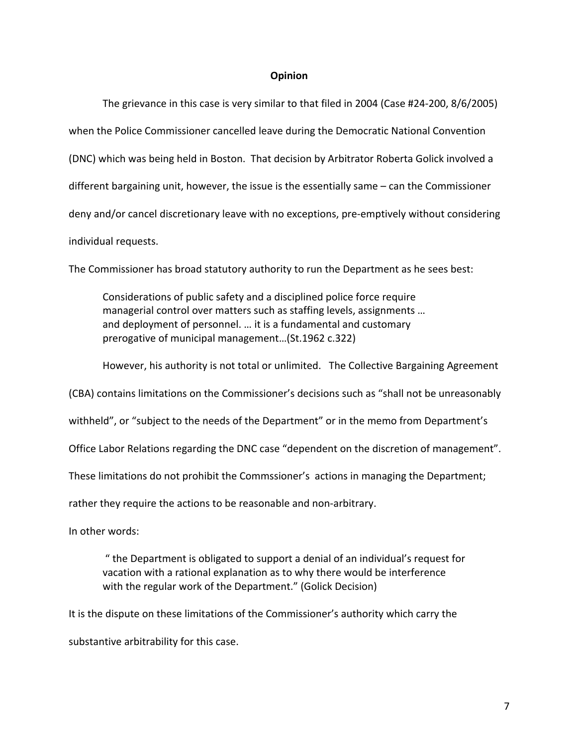#### **Opinion**

The grievance in this case is very similar to that filed in 2004 (Case #24-200, 8/6/2005) when the Police Commissioner cancelled leave during the Democratic National Convention (DNC) which was being held in Boston. That decision by Arbitrator Roberta Golick involved a different bargaining unit, however, the issue is the essentially same – can the Commissioner deny and/or cancel discretionary leave with no exceptions, pre-emptively without considering individual requests.

The Commissioner has broad statutory authority to run the Department as he sees best:

Considerations of public safety and a disciplined police force require managerial control over matters such as staffing levels, assignments … and deployment of personnel. … it is a fundamental and customary prerogative of municipal management…(St.1962 c.322)

However, his authority is not total or unlimited. The Collective Bargaining Agreement

(CBA) contains limitations on the Commissioner's decisions such as "shall not be unreasonably

withheld", or "subject to the needs of the Department" or in the memo from Department's

Office Labor Relations regarding the DNC case "dependent on the discretion of management".

These limitations do not prohibit the Commssioner's actions in managing the Department;

rather they require the actions to be reasonable and non-arbitrary.

In other words:

" the Department is obligated to support a denial of an individual's request for vacation with a rational explanation as to why there would be interference with the regular work of the Department." (Golick Decision)

It is the dispute on these limitations of the Commissioner's authority which carry the

substantive arbitrability for this case.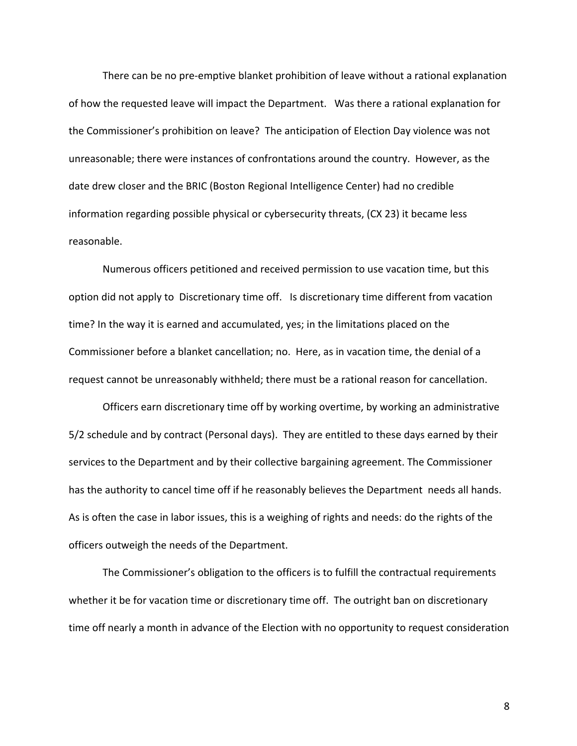There can be no pre-emptive blanket prohibition of leave without a rational explanation of how the requested leave will impact the Department. Was there a rational explanation for the Commissioner's prohibition on leave? The anticipation of Election Day violence was not unreasonable; there were instances of confrontations around the country. However, as the date drew closer and the BRIC (Boston Regional Intelligence Center) had no credible information regarding possible physical or cybersecurity threats, (CX 23) it became less reasonable.

Numerous officers petitioned and received permission to use vacation time, but this option did not apply to Discretionary time off. Is discretionary time different from vacation time? In the way it is earned and accumulated, yes; in the limitations placed on the Commissioner before a blanket cancellation; no. Here, as in vacation time, the denial of a request cannot be unreasonably withheld; there must be a rational reason for cancellation.

Officers earn discretionary time off by working overtime, by working an administrative 5/2 schedule and by contract (Personal days). They are entitled to these days earned by their services to the Department and by their collective bargaining agreement. The Commissioner has the authority to cancel time off if he reasonably believes the Department needs all hands. As is often the case in labor issues, this is a weighing of rights and needs: do the rights of the officers outweigh the needs of the Department.

The Commissioner's obligation to the officers is to fulfill the contractual requirements whether it be for vacation time or discretionary time off. The outright ban on discretionary time off nearly a month in advance of the Election with no opportunity to request consideration

8